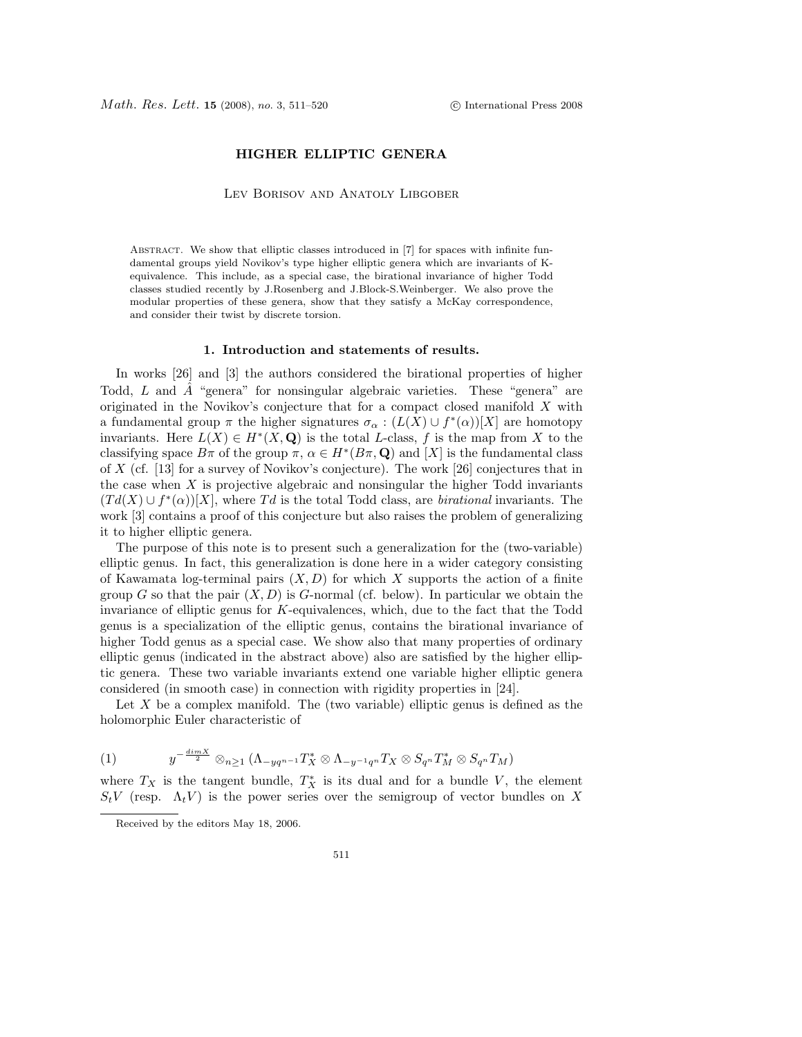## HIGHER ELLIPTIC GENERA

Lev Borisov and Anatoly Libgober

Abstract. We show that elliptic classes introduced in [7] for spaces with infinite fundamental groups yield Novikov's type higher elliptic genera which are invariants of Kequivalence. This include, as a special case, the birational invariance of higher Todd classes studied recently by J.Rosenberg and J.Block-S.Weinberger. We also prove the modular properties of these genera, show that they satisfy a McKay correspondence, and consider their twist by discrete torsion.

### 1. Introduction and statements of results.

In works [26] and [3] the authors considered the birational properties of higher Todd, *L* and *A*ˆ "genera" for nonsingular algebraic varieties. These "genera" are originated in the Novikov's conjecture that for a compact closed manifold *X* with a fundamental group  $\pi$  the higher signatures  $\sigma_{\alpha} : (L(X) \cup f^*(\alpha))[X]$  are homotopy invariants. Here  $L(X) \in H^*(X, \mathbf{Q})$  is the total *L*-class, *f* is the map from *X* to the classifying space  $B\pi$  of the group  $\pi, \alpha \in H^*(B\pi, \mathbf{Q})$  and [X] is the fundamental class of *X* (cf. [13] for a survey of Novikov's conjecture). The work [26] conjectures that in the case when *X* is projective algebraic and nonsingular the higher Todd invariants  $(Td(X) \cup f^*(\alpha))[X]$ , where Td is the total Todd class, are *birational* invariants. The work [3] contains a proof of this conjecture but also raises the problem of generalizing it to higher elliptic genera.

The purpose of this note is to present such a generalization for the (two-variable) elliptic genus. In fact, this generalization is done here in a wider category consisting of Kawamata log-terminal pairs (*X, D*) for which *X* supports the action of a finite group *G* so that the pair  $(X, D)$  is *G*-normal (cf. below). In particular we obtain the invariance of elliptic genus for *K*-equivalences, which, due to the fact that the Todd genus is a specialization of the elliptic genus, contains the birational invariance of higher Todd genus as a special case. We show also that many properties of ordinary elliptic genus (indicated in the abstract above) also are satisfied by the higher elliptic genera. These two variable invariants extend one variable higher elliptic genera considered (in smooth case) in connection with rigidity properties in [24].

Let X be a complex manifold. The (two variable) elliptic genus is defined as the holomorphic Euler characteristic of

(1) 
$$
y^{-\frac{dim X}{2}} \otimes_{n \geq 1} (\Lambda_{-yq^{n-1}}T_X^* \otimes \Lambda_{-y^{-1}q^n}T_X \otimes S_{q^n}T_M^* \otimes S_{q^n}T_M)
$$

where  $T_X$  is the tangent bundle,  $T_X^*$  is its dual and for a bundle *V*, the element  $S_t V$  (resp.  $\Lambda_t V$ ) is the power series over the semigroup of vector bundles on X

Received by the editors May 18, 2006.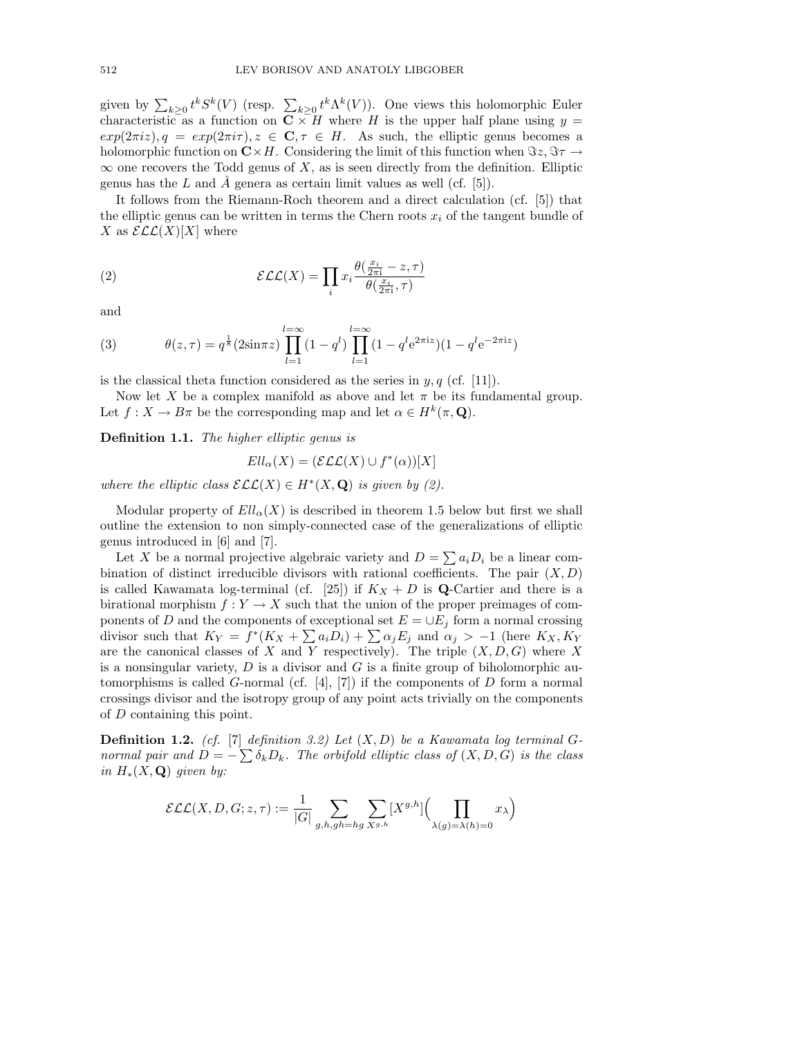given by  $\sum_{k\geq 0} t^k S^k(V)$  (resp.  $\sum_{k\geq 0} t^k \Lambda^k(V)$ ). One views this holomorphic Euler characteristic as a function on  $C \times H$  where *H* is the upper half plane using  $y =$  $exp(2\pi i z)$ ,  $q = exp(2\pi i \tau)$ ,  $z \in \mathbb{C}$ ,  $\tau \in H$ . As such, the elliptic genus becomes a holomorphic function on  $\mathbb{C}\times H$ . Considering the limit of this function when  $\Im z, \Im \tau \rightarrow$  $\infty$  one recovers the Todd genus of *X*, as is seen directly from the definition. Elliptic genus has the  $L$  and  $\ddot{A}$  genera as certain limit values as well (cf. [5]).

It follows from the Riemann-Roch theorem and a direct calculation (cf. [5]) that the elliptic genus can be written in terms the Chern roots  $x_i$  of the tangent bundle of *X* as  $\mathcal{ELL}(X)[X]$  where

(2) 
$$
\mathcal{E}\mathcal{L}(X) = \prod_{i} x_i \frac{\theta(\frac{x_i}{2\pi i} - z, \tau)}{\theta(\frac{x_i}{2\pi i}, \tau)}
$$

and

(3) 
$$
\theta(z,\tau) = q^{\frac{1}{8}}(2\sin\pi z) \prod_{l=1}^{l=\infty} (1-q^l) \prod_{l=1}^{l=\infty} (1-q^l e^{2\pi i z})(1-q^l e^{-2\pi i z})
$$

is the classical theta function considered as the series in  $y, q$  (cf. [11]).

Now let X be a complex manifold as above and let  $\pi$  be its fundamental group. Let  $f: X \to B\pi$  be the corresponding map and let  $\alpha \in H^k(\pi, \mathbf{Q})$ .

Definition 1.1. *The higher elliptic genus is*

$$
Ell_{\alpha}(X)=(\mathcal{ELL}(X)\cup f^*(\alpha))[X]
$$

*where the elliptic class*  $\mathcal{ELL}(X) \in H^*(X, \mathbf{Q})$  *is given by (2).* 

Modular property of  $Ell_\alpha(X)$  is described in theorem 1.5 below but first we shall outline the extension to non simply-connected case of the generalizations of elliptic genus introduced in [6] and [7].

Let *X* be a normal projective algebraic variety and  $D = \sum a_i D_i$  be a linear combination of distinct irreducible divisors with rational coefficients. The pair  $(X, D)$ is called Kawamata log-terminal (cf. [25]) if  $K_X + D$  is **Q**-Cartier and there is a birational morphism  $f: Y \to X$  such that the union of the proper preimages of components of *D* and the components of exceptional set  $E = \bigcup E_j$  form a normal crossing divisor such that  $K_Y = f^*(K_X + \sum a_i D_i) + \sum \alpha_j E_j$  and  $\alpha_j > -1$  (here  $K_X, K_Y$ are the canonical classes of *X* and *Y* respectively). The triple (*X, D, G*) where *X* is a nonsingular variety, *D* is a divisor and *G* is a finite group of biholomorphic automorphisms is called *G*-normal (cf.  $[4]$ ,  $[7]$ ) if the components of *D* form a normal crossings divisor and the isotropy group of any point acts trivially on the components of *D* containing this point.

Definition 1.2. *(cf.* [7] *definition 3.2) Let* (*X, D*) *be a Kawamata log terminal Gnormal pair and*  $D = -\sum_{k} \delta_k D_k$ *. The orbifold elliptic class of*  $(X, D, G)$  *is the class in*  $H_*(X, \mathbf{Q})$  *given by:* 

$$
\mathcal{ELL}(X, D, G; z, \tau) := \frac{1}{|G|} \sum_{g,h, gh=hg} \sum_{X^{g,h}} [X^{g,h}] \Biggl(\prod_{\lambda(g)=\lambda(h)=0} x_{\lambda}\Biggr)
$$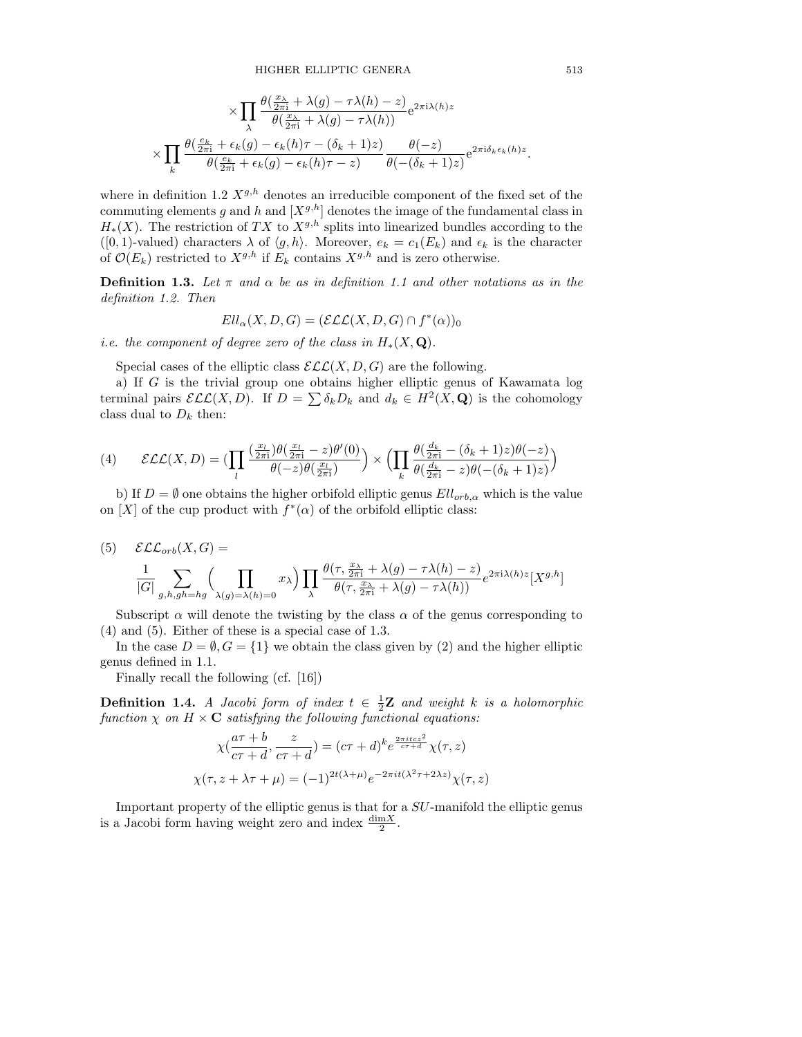$$
\times \prod_{\lambda} \frac{\theta(\frac{x_{\lambda}}{2\pi i} + \lambda(g) - \tau \lambda(h) - z)}{\theta(\frac{x_{\lambda}}{2\pi i} + \lambda(g) - \tau \lambda(h))} e^{2\pi i \lambda(h) z} \\ \times \prod_{k} \frac{\theta(\frac{e_k}{2\pi i} + \epsilon_k(g) - \epsilon_k(h)\tau - (\delta_k + 1)z)}{\theta(\frac{e_k}{2\pi i} + \epsilon_k(g) - \epsilon_k(h)\tau - z)} \frac{\theta(-z)}{\theta(-(\delta_k + 1)z)} e^{2\pi i \delta_k \epsilon_k(h) z}.
$$

where in definition 1.2  $X^{g,h}$  denotes an irreducible component of the fixed set of the commuting elements *q* and *h* and  $[X^{g,h}]$  denotes the image of the fundamental class in  $H_*(X)$ . The restriction of *TX* to  $X^{g,h}$  splits into linearized bundles according to the ([0, 1)-valued) characters  $\lambda$  of  $\langle g, h \rangle$ . Moreover,  $e_k = c_1(E_k)$  and  $\epsilon_k$  is the character of  $\mathcal{O}(E_k)$  restricted to  $X^{g,h}$  if  $E_k$  contains  $X^{g,h}$  and is zero otherwise.

**Definition 1.3.** Let  $\pi$  and  $\alpha$  be as in definition 1.1 and other notations as in the *definition 1.2. Then*

$$
Ell_{\alpha}(X,D,G)=(\mathcal{ELL}(X,D,G)\cap f^*(\alpha))_0
$$

*i.e. the component of degree zero of the class in*  $H_*(X, \mathbf{Q})$ .

Special cases of the elliptic class  $\mathcal{ELL}(X, D, G)$  are the following.

a) If *G* is the trivial group one obtains higher elliptic genus of Kawamata log terminal pairs  $\mathcal{ELL}(X, D)$ . If  $D = \sum \delta_k D_k$  and  $d_k \in H^2(X, \mathbf{Q})$  is the cohomology class dual to  $D_k$  then:

(4) 
$$
\mathcal{ELL}(X, D) = \left(\prod_{l} \frac{\left(\frac{x_l}{2\pi i}\right)\theta\left(\frac{x_l}{2\pi i} - z\right)\theta'(0)}{\theta(-z)\theta\left(\frac{x_l}{2\pi i}\right)}\right) \times \left(\prod_{k} \frac{\theta\left(\frac{d_k}{2\pi i} - (\delta_k + 1)z\right)\theta(-z)}{\theta\left(\frac{d_k}{2\pi i} - z\right)\theta\left(-(\delta_k + 1)z\right)}\right)
$$

b) If  $D = \emptyset$  one obtains the higher orbifold elliptic genus  $Ell_{orb,\alpha}$  which is the value on [X] of the cup product with  $f^*(\alpha)$  of the orbifold elliptic class:

(5) 
$$
\mathcal{ELL}_{orb}(X, G) = \frac{1}{|G|} \sum_{g,h,gh=hg} \left( \prod_{\lambda(g)=\lambda(h)=0} x_{\lambda} \right) \prod_{\lambda} \frac{\theta(\tau, \frac{x_{\lambda}}{2\pi i} + \lambda(g) - \tau \lambda(h) - z)}{\theta(\tau, \frac{x_{\lambda}}{2\pi i} + \lambda(g) - \tau \lambda(h))} e^{2\pi i \lambda(h) z} [X^{g,h}]
$$

Subscript  $\alpha$  will denote the twisting by the class  $\alpha$  of the genus corresponding to (4) and (5). Either of these is a special case of 1.3.

In the case  $D = \emptyset, G = \{1\}$  we obtain the class given by (2) and the higher elliptic genus defined in 1.1.

Finally recall the following (cf. [16])

**Definition 1.4.** *A Jacobi form of index*  $t \in \frac{1}{2}Z$  *and weight k is a holomorphic function*  $\chi$  *on*  $H \times \mathbf{C}$  *satisfying the following functional equations:* 

$$
\chi\left(\frac{a\tau+b}{c\tau+d}, \frac{z}{c\tau+d}\right) = (c\tau+d)^k e^{\frac{2\pi itcz^2}{c\tau+d}} \chi(\tau, z)
$$

$$
\chi(\tau, z + \lambda\tau + \mu) = (-1)^{2t(\lambda+\mu)} e^{-2\pi it(\lambda^2\tau + 2\lambda z)} \chi(\tau, z)
$$

Important property of the elliptic genus is that for a *SU*-manifold the elliptic genus is a Jacobi form having weight zero and index  $\frac{\dim X}{2}$ .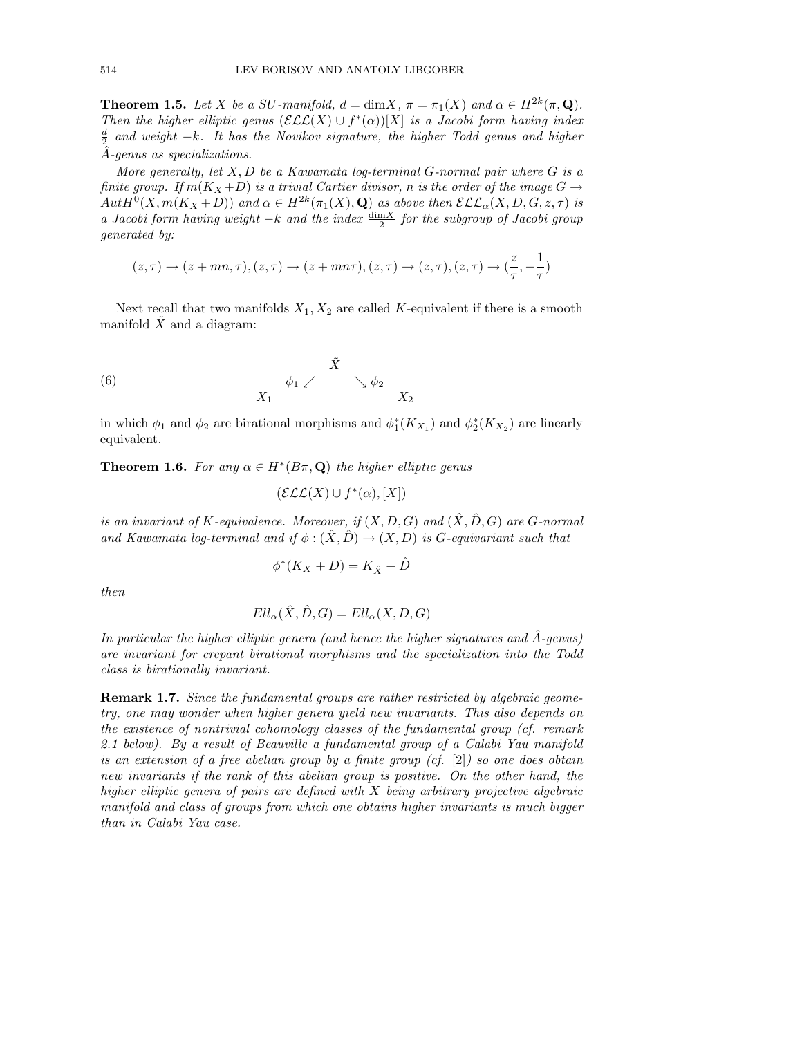**Theorem 1.5.** Let *X* be a *SU*-manifold,  $d = \dim X$ ,  $\pi = \pi_1(X)$  and  $\alpha \in H^{2k}(\pi, \mathbf{Q})$ . *Then the higher elliptic genus*  $(\mathcal{ELL}(X) \cup f^*(\alpha))[X]$  *is a Jacobi form having index*  $\frac{d}{2}$  *and weight*  $-k$ *. It has the Novikov signature, the higher Todd genus and higher A*ˆ*-genus as specializations.*

*More generally, let X, D be a Kawamata log-terminal G-normal pair where G is a finite group.* If  $m(K_X+D)$  *is a trivial Cartier divisor, n is the order of the image*  $G \rightarrow$  $Aut H^0(X, m(K_X+D))$  and  $\alpha \in H^{2k}(\pi_1(X), \mathbf{Q})$  as above then  $\mathcal{ELL}_{\alpha}(X, D, G, z, \tau)$  is *a Jacobi form having weight*  $-k$  *and the index*  $\frac{\dim X}{2}$  *for the subgroup of Jacobi group generated by:*

$$
(z,\tau) \to (z+mn,\tau), (z,\tau) \to (z+mn\tau), (z,\tau) \to (z,\tau), (z,\tau) \to (\frac{z}{\tau},-\frac{1}{\tau})
$$

Next recall that two manifolds  $X_1, X_2$  are called  $K$ -equivalent if there is a smooth manifold *X* and a diagram:

(6) 
$$
\begin{array}{ccccc}\n & & \tilde{X} & & \\
 & & \phi_1 \swarrow & & \searrow \phi_2 & \\
 & & X_1 & & & X_2\n\end{array}
$$

in which  $\phi_1$  and  $\phi_2$  are birational morphisms and  $\phi_1^*(K_{X_1})$  and  $\phi_2^*(K_{X_2})$  are linearly equivalent.

**Theorem 1.6.** For any  $\alpha \in H^*(B\pi, \mathbf{Q})$  the higher elliptic genus

$$
(\mathcal{ELL}(X) \cup f^*(\alpha), [X])
$$

*is an invariant of*  $K$ *-equivalence. Moreover, if*  $(X, D, G)$  *and*  $(X, D, G)$  *are*  $G$ *-normal and Kawamata log-terminal and if*  $\phi$  :  $(\hat{X}, \hat{D}) \rightarrow (X, D)$  *is G-equivariant such that* 

$$
\phi^*(K_X+D)=K_{\hat{X}}+\hat{D}
$$

*then*

$$
Ell_{\alpha}(\hat{X}, \hat{D}, G) = Ell_{\alpha}(X, D, G)
$$

*In particular the higher elliptic genera (and hence the higher signatures and A*ˆ*-genus) are invariant for crepant birational morphisms and the specialization into the Todd class is birationally invariant.*

Remark 1.7. *Since the fundamental groups are rather restricted by algebraic geometry, one may wonder when higher genera yield new invariants. This also depends on the existence of nontrivial cohomology classes of the fundamental group (cf. remark 2.1 below). By a result of Beauville a fundamental group of a Calabi Yau manifold is an extension of a free abelian group by a finite group (cf.* [2]*) so one does obtain new invariants if the rank of this abelian group is positive. On the other hand, the higher elliptic genera of pairs are defined with X being arbitrary projective algebraic manifold and class of groups from which one obtains higher invariants is much bigger than in Calabi Yau case.*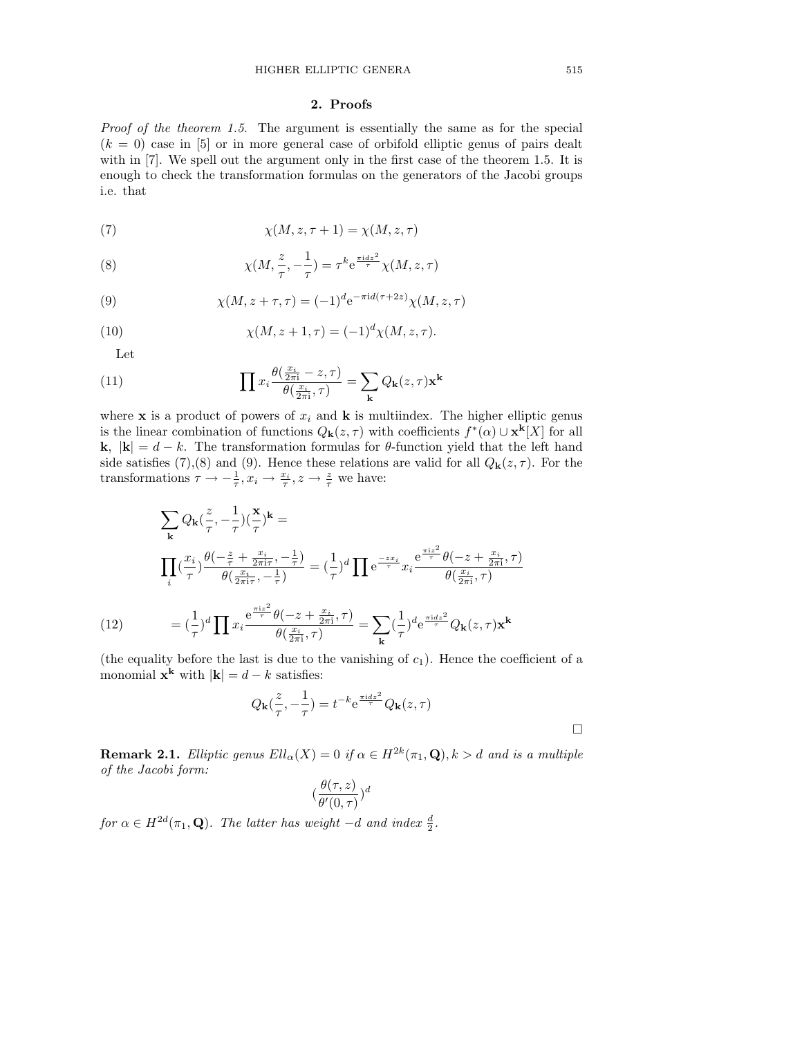# 2. Proofs

*Proof of the theorem 1.5*. The argument is essentially the same as for the special  $(k = 0)$  case in [5] or in more general case of orbifold elliptic genus of pairs dealt with in [7]. We spell out the argument only in the first case of the theorem 1.5. It is enough to check the transformation formulas on the generators of the Jacobi groups i.e. that

(7) 
$$
\chi(M, z, \tau + 1) = \chi(M, z, \tau)
$$

(8) 
$$
\chi(M, \frac{z}{\tau}, -\frac{1}{\tau}) = \tau^k e^{\frac{\pi i dz^2}{\tau}} \chi(M, z, \tau)
$$

(9) 
$$
\chi(M, z + \tau, \tau) = (-1)^d e^{-\pi i d(\tau + 2z)} \chi(M, z, \tau)
$$

(10) 
$$
\chi(M, z+1, \tau) = (-1)^d \chi(M, z, \tau).
$$

Let

(11) 
$$
\prod x_i \frac{\theta(\frac{x_i}{2\pi i} - z, \tau)}{\theta(\frac{x_i}{2\pi i}, \tau)} = \sum_{\mathbf{k}} Q_{\mathbf{k}}(z, \tau) \mathbf{x}^{\mathbf{k}}
$$

where **x** is a product of powers of  $x_i$  and **k** is multiindex. The higher elliptic genus is the linear combination of functions  $Q_{\mathbf{k}}(z,\tau)$  with coefficients  $f^*(\alpha) \cup \mathbf{x}^{\mathbf{k}}[X]$  for all **k**,  $|\mathbf{k}| = d - k$ . The transformation formulas for  $\theta$ -function yield that the left hand side satisfies (7),(8) and (9). Hence these relations are valid for all  $Q_{\bf k}(z,\tau)$ . For the transformations  $\tau \to -\frac{1}{\tau}, x_i \to \frac{x_i}{\tau}, z \to \frac{z}{\tau}$  we have:

$$
\sum_{\mathbf{k}} Q_{\mathbf{k}} \left(\frac{z}{\tau}, -\frac{1}{\tau}\right) \left(\frac{\mathbf{x}}{\tau}\right)^{\mathbf{k}} =
$$
\n
$$
\prod_{i} \left(\frac{x_i}{\tau}\right) \frac{\theta \left(-\frac{z}{\tau} + \frac{x_i}{2\pi i \tau}, -\frac{1}{\tau}\right)}{\theta \left(\frac{x_i}{2\pi i \tau}, -\frac{1}{\tau}\right)} = \left(\frac{1}{\tau}\right)^d \prod_{\mathbf{c}} e^{\frac{-z x_i}{\tau}} x_i \frac{e^{\frac{\pi i z^2}{\tau}} \theta \left(-z + \frac{x_i}{2\pi i}, \tau\right)}{\theta \left(\frac{x_i}{2\pi i}, \tau\right)}
$$
\n
$$
(12) \qquad = \left(\frac{1}{\tau}\right)^d \prod_{\mathbf{x}} x_i \frac{e^{\frac{\pi i z^2}{\tau}} \theta \left(-z + \frac{x_i}{2\pi i}, \tau\right)}{\theta \left(\frac{x_i}{2\pi i}, \tau\right)} = \sum_{\mathbf{k}} \left(\frac{1}{\tau}\right)^d e^{\frac{\pi i dz^2}{\tau}} Q_{\mathbf{k}}(z, \tau) \mathbf{x}^{\mathbf{k}}
$$

(the equality before the last is due to the vanishing of  $c_1$ ). Hence the coefficient of a monomial  $\mathbf{x}^{\mathbf{k}}$  with  $|\mathbf{k}| = d - k$  satisfies:

$$
Q_{\mathbf{k}}(\frac{z}{\tau}, -\frac{1}{\tau}) = t^{-k} e^{\frac{\pi i dz^2}{\tau}} Q_{\mathbf{k}}(z, \tau)
$$

**Remark 2.1.** *Elliptic genus*  $Ell_{\alpha}(X) = 0$  *if*  $\alpha \in H^{2k}(\pi_1, \mathbf{Q}), k > d$  *and is a multiple of the Jacobi form:*

$$
(\frac{\theta(\tau,z)}{\theta'(0,\tau)})^d
$$

*for*  $\alpha \in H^{2d}(\pi_1, \mathbf{Q})$ *. The latter has weight*  $-d$  *and index*  $\frac{d}{2}$ *.* 

 $\Box$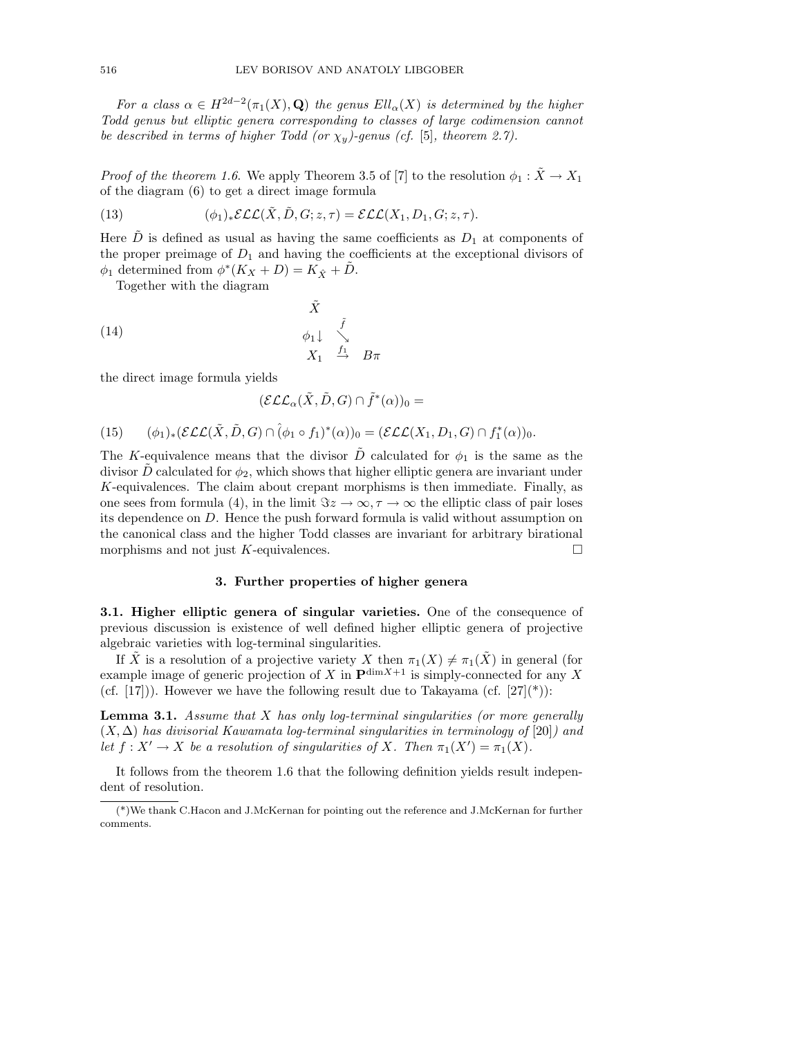*For a class*  $\alpha \in H^{2d-2}(\pi_1(X), \mathbf{Q})$  *the genus*  $Ell_\alpha(X)$  *is determined by the higher Todd genus but elliptic genera corresponding to classes of large codimension cannot be described in terms of higher Todd (or*  $\chi_y$ )-genus (cf. [5], theorem 2.7).

*Proof of the theorem 1.6.* We apply Theorem 3.5 of [7] to the resolution  $\phi_1 : \tilde{X} \to X_1$ of the diagram (6) to get a direct image formula

(13) 
$$
(\phi_1)_* \mathcal{ELL}(\tilde{X}, \tilde{D}, G; z, \tau) = \mathcal{ELL}(X_1, D_1, G; z, \tau).
$$

Here *D* is defined as usual as having the same coefficients as  $D_1$  at components of the proper preimage of  $D_1$  and having the coefficients at the exceptional divisors of  $\phi_1$  determined from  $\phi^*(K_X + D) = K_{\hat{X}} + D$ .

Together with the diagram

(14) 
$$
\begin{array}{ccc}\n\tilde{X} & \tilde{f} \\
\phi_1 \downarrow & \searrow \\
X_1 & \stackrel{f_1}{\to} & B\pi\n\end{array}
$$

the direct image formula yields

$$
(\mathcal{ELL}_{\alpha}(\tilde{X}, \tilde{D}, G) \cap \tilde{f}^*(\alpha))_0 =
$$

(15) 
$$
(\phi_1)_*(\mathcal{ELL}(\tilde{X}, \tilde{D}, G) \cap (\phi_1 \circ f_1)^*(\alpha))_0 = (\mathcal{ELL}(X_1, D_1, G) \cap f_1^*(\alpha))_0.
$$

The *K*-equivalence means that the divisor  $\tilde{D}$  calculated for  $\phi_1$  is the same as the divisor  $\ddot{D}$  calculated for  $\phi_2$ , which shows that higher elliptic genera are invariant under *K*-equivalences. The claim about crepant morphisms is then immediate. Finally, as one sees from formula (4), in the limit  $\Im z \to \infty, \tau \to \infty$  the elliptic class of pair loses its dependence on *D*. Hence the push forward formula is valid without assumption on the canonical class and the higher Todd classes are invariant for arbitrary birational morphisms and not just  $K$ -equivalences.  $\Box$ 

# 3. Further properties of higher genera

3.1. Higher elliptic genera of singular varieties. One of the consequence of previous discussion is existence of well defined higher elliptic genera of projective algebraic varieties with log-terminal singularities.

If  $\tilde{X}$  is a resolution of a projective variety *X* then  $\pi_1(X) \neq \pi_1(\tilde{X})$  in general (for example image of generic projection of *X* in  $\mathbf{P}^{\dim X+1}$  is simply-connected for any *X* (cf. [17])). However we have the following result due to Takayama (cf.  $[27](*)$ ):

Lemma 3.1. *Assume that X has only log-terminal singularities (or more generally*  $(X, \Delta)$  has divisorial Kawamata log-terminal singularities in terminology of [20]) and *let*  $f: X' \to X$  *be a resolution of singularities of*  $X$ *. Then*  $\pi_1(X') = \pi_1(X)$ *.* 

It follows from the theorem 1.6 that the following definition yields result independent of resolution.

<sup>(\*)</sup>We thank C.Hacon and J.McKernan for pointing out the reference and J.McKernan for further comments.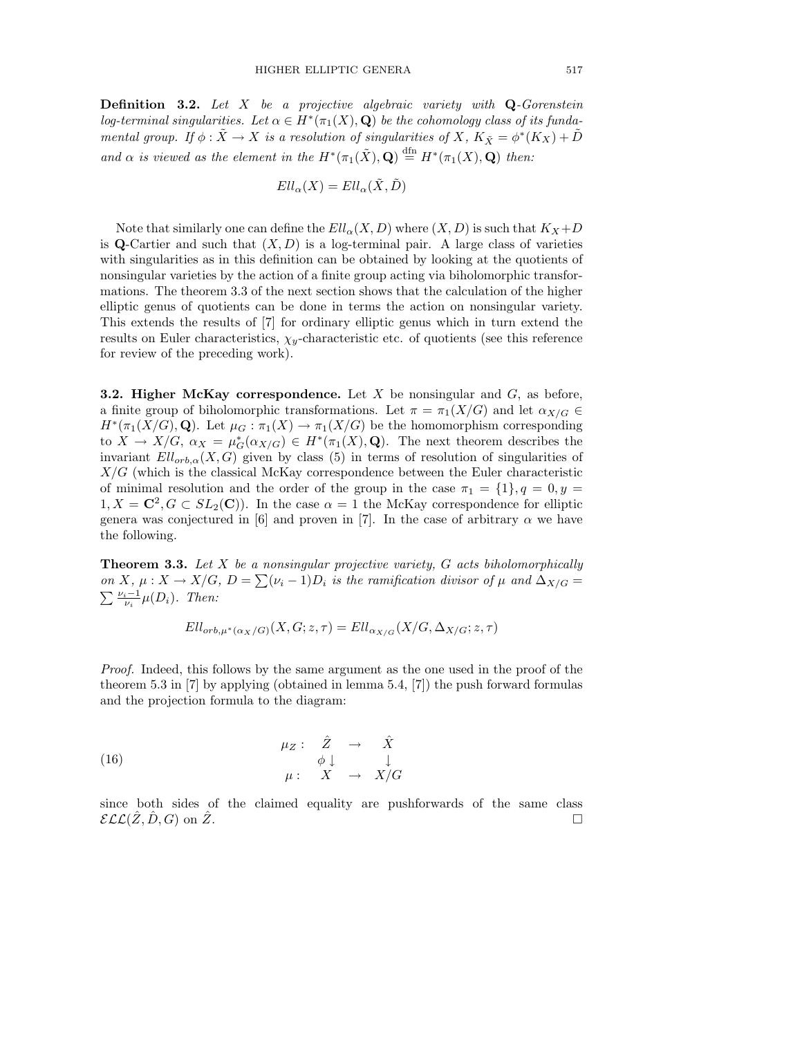Definition 3.2. *Let X be a projective algebraic variety with* Q*-Gorenstein log-terminal singularities.* Let  $\alpha \in H^*(\pi_1(X), \mathbf{Q})$  be the cohomology class of its funda*mental group.* If  $\phi : \tilde{X} \to X$  is a resolution of singularities of X,  $K_{\tilde{X}} = \phi^*(K_X) + D$ and  $\alpha$  is viewed as the element in the  $H^*(\pi_1(\tilde{X}), \mathbf{Q}) \stackrel{\text{dfn}}{=} H^*(\pi_1(X), \mathbf{Q})$  then:

$$
Ell_{\alpha}(X)=Ell_{\alpha}(\tilde{X},\tilde{D})
$$

Note that similarly one can define the  $Ell_\alpha(X, D)$  where  $(X, D)$  is such that  $K_X+D$ is Q-Cartier and such that  $(X, D)$  is a log-terminal pair. A large class of varieties with singularities as in this definition can be obtained by looking at the quotients of nonsingular varieties by the action of a finite group acting via biholomorphic transformations. The theorem 3.3 of the next section shows that the calculation of the higher elliptic genus of quotients can be done in terms the action on nonsingular variety. This extends the results of [7] for ordinary elliptic genus which in turn extend the results on Euler characteristics,  $\chi_y$ -characteristic etc. of quotients (see this reference for review of the preceding work).

3.2. Higher McKay correspondence. Let *X* be nonsingular and *G*, as before, a finite group of biholomorphic transformations. Let  $\pi = \pi_1(X/G)$  and let  $\alpha_{X/G} \in$  $H^*(\pi_1(X/G), \mathbf{Q})$ . Let  $\mu_G : \pi_1(X) \to \pi_1(X/G)$  be the homomorphism corresponding to  $X \to X/G$ ,  $\alpha_X = \mu_G^*(\alpha_{X/G}) \in H^*(\pi_1(X), \mathbf{Q})$ . The next theorem describes the invariant  $Ell_{orb,\alpha}(X, G)$  given by class (5) in terms of resolution of singularities of *X/G* (which is the classical McKay correspondence between the Euler characteristic of minimal resolution and the order of the group in the case  $\pi_1 = \{1\}$ ,  $q = 0$ ,  $y =$  $1, X = \mathbb{C}^2, G \subset SL_2(\mathbb{C})$ . In the case  $\alpha = 1$  the McKay correspondence for elliptic genera was conjectured in [6] and proven in [7]. In the case of arbitrary  $\alpha$  we have the following.

Theorem 3.3. *Let X be a nonsingular projective variety, G acts biholomorphically on X*,  $\mu$  : *X*  $\rightarrow$  *X*/*G*,  $D = \sum (\nu_i - 1)D_i$  *is the ramification divisor of*  $\mu$  *and*  $\Delta_{X/G}$  =  $\sum_{\mu} \frac{\nu_i - 1}{\mu(D_i)}$ . Then:

$$
Ell_{orb,\mu^*(\alpha_X/G)}(X,G;z,\tau) = Ell_{\alpha_{X/G}}(X/G,\Delta_{X/G};z,\tau)
$$

*Proof.* Indeed, this follows by the same argument as the one used in the proof of the theorem 5.3 in [7] by applying (obtained in lemma 5.4, [7]) the push forward formulas and the projection formula to the diagram:

(16) 
$$
\begin{array}{cccc}\n\mu_Z: & \hat{Z} & \to & \hat{X} \\
& & \phi \downarrow & & \downarrow \\
& & \mu: & X & \to & X/G\n\end{array}
$$

since both sides of the claimed equality are pushforwards of the same class  $\mathcal{ELL}(\hat{Z}, \hat{D}, G)$  on  $\hat{Z}$ .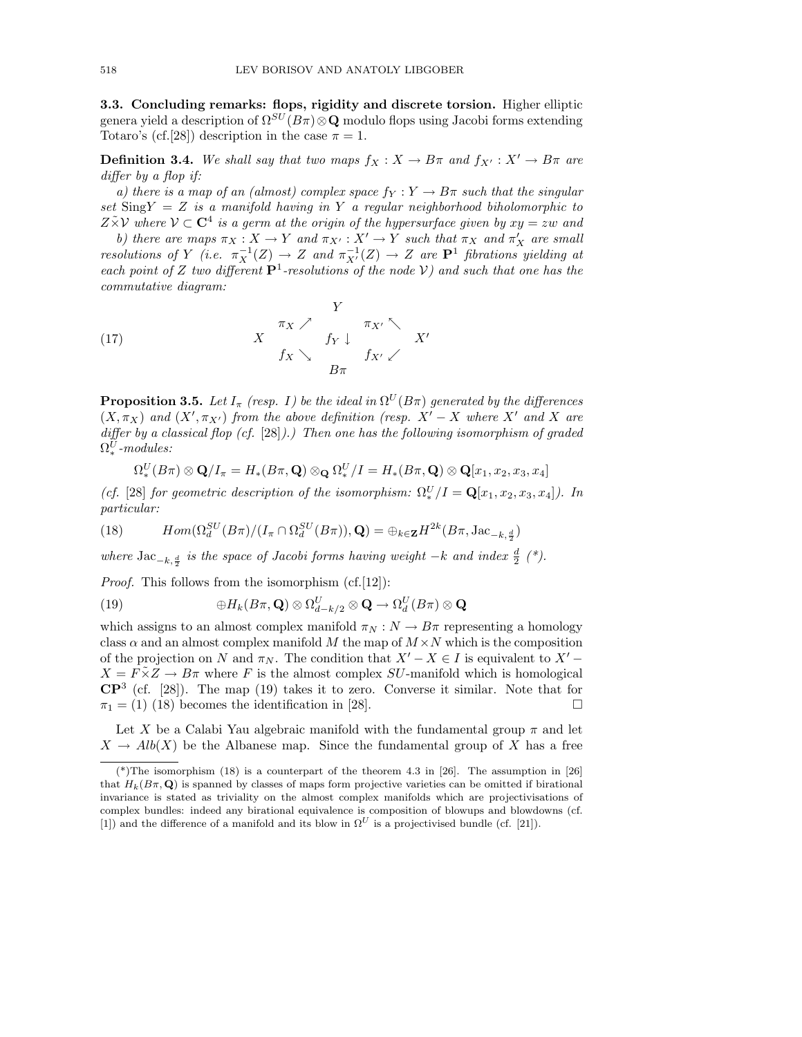3.3. Concluding remarks: flops, rigidity and discrete torsion. Higher elliptic genera yield a description of  $\Omega^{SU}(B\pi)\otimes \mathbf{Q}$  modulo flops using Jacobi forms extending Totaro's (cf.[28]) description in the case  $\pi = 1$ .

**Definition 3.4.** We shall say that two maps  $f_X : X \to B\pi$  and  $f_{X'} : X' \to B\pi$  are *differ by a flop if:* 

*a) there is a map of an (almost) complex space*  $f_Y: Y \to B\pi$  such that the singular *set* Sing*Y* = *Z is a manifold having in Y a regular neighborhood biholomorphic to*  $Z \tilde{\times} \mathcal{V}$  where  $\mathcal{V} \subset \mathbf{C}^4$  *is a germ at the origin of the hypersurface given by*  $xy = zw$  *and* 

*b)* there are maps  $\pi_X : X \to Y$  and  $\pi_{X'} : X' \to Y$  such that  $\pi_X$  and  $\pi'_X$  are small *resolutions of Y* (*i.e.*  $\pi_X^{-1}(Z) \to Z$  *and*  $\pi_{X'}^{-1}(Z) \to Z$  *are*  $P^1$  *fibrations yielding at each point of Z two different*  $P<sup>1</sup>$ *-resolutions of the node V)* and such that one has the *commutative diagram:*

(17) 
$$
\begin{array}{ccc}\n & & Y & \\
 & X & \pi_X \nearrow & \pi_{X'} \searrow \\
 & & & f_X \searrow & f_X \downarrow \\
 & & & B\pi & & \n\end{array}
$$

**Proposition 3.5.** *Let*  $I_{\pi}$  *(resp. I) be the ideal in*  $\Omega^U(B\pi)$  *generated by the differences*  $(X, \pi_X)$  and  $(X', \pi_{X'})$  from the above definition (resp.  $X' - X$  where  $X'$  and X are *differ by a classical flop (cf.* [28]).) Then one has the following isomorphism of graded  $\Omega^U_*$  -modules:

$$
\Omega_*^U(B\pi)\otimes \mathbf{Q}/I_{\pi}=H_*(B\pi,\mathbf{Q})\otimes_{\mathbf{Q}} \Omega_*^U/I=H_*(B\pi,\mathbf{Q})\otimes \mathbf{Q}[x_1,x_2,x_3,x_4]
$$

(*cf.* [28] *for geometric description of the isomorphism:*  $\Omega_*^U/I = \mathbf{Q}[x_1, x_2, x_3, x_4]$ *). In particular:*

(18) 
$$
Hom(\Omega_d^{SU}(B\pi)/(I_{\pi}\cap \Omega_d^{SU}(B\pi)), \mathbf{Q}) = \bigoplus_{k\in\mathbf{Z}} H^{2k}(B\pi, \operatorname{Jac}_{-k,\frac{d}{2}})
$$

where  $Jac_{-k,\frac{d}{2}}$  is the space of Jacobi forms having weight  $-k$  and index  $\frac{d}{2}$  (\*).

*Proof.* This follows from the isomorphism (cf.[12]):

(19) 
$$
\oplus H_k(B\pi,\mathbf{Q}) \otimes \Omega_{d-k/2}^U \otimes \mathbf{Q} \to \Omega_d^U(B\pi) \otimes \mathbf{Q}
$$

which assigns to an almost complex manifold  $\pi_N : N \to B\pi$  representing a homology class  $\alpha$  and an almost complex manifold *M* the map of  $M \times N$  which is the composition of the projection on *N* and  $\pi_N$ . The condition that  $X'-X \in I$  is equivalent to  $X' X = F\tilde{X}Z \rightarrow B\pi$  where *F* is the almost complex *SU*-manifold which is homological  $\mathbb{CP}^3$  (cf. [28]). The map (19) takes it to zero. Converse it similar. Note that for  $\pi_1 = (1)$  (18) becomes the identification in [28].

Let X be a Calabi Yau algebraic manifold with the fundamental group  $\pi$  and let  $X \to Alb(X)$  be the Albanese map. Since the fundamental group of X has a free

<sup>(\*)</sup>The isomorphism  $(18)$  is a counterpart of the theorem 4.3 in [26]. The assumption in [26] that  $H_k(B\pi, \mathbf{Q})$  is spanned by classes of maps form projective varieties can be omitted if birational invariance is stated as triviality on the almost complex manifolds which are projectivisations of complex bundles: indeed any birational equivalence is composition of blowups and blowdowns (cf. [1]) and the difference of a manifold and its blow in  $\Omega^U$  is a projectivised bundle (cf. [21]).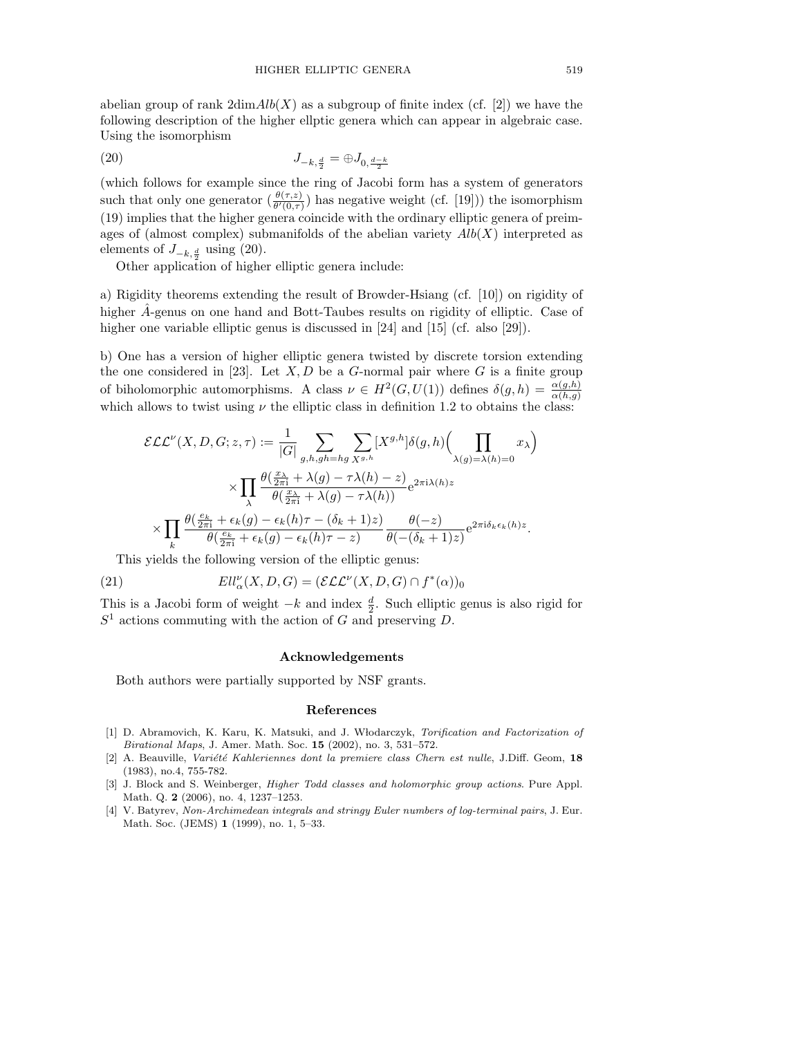abelian group of rank  $2\dim Alb(X)$  as a subgroup of finite index (cf. [2]) we have the following description of the higher ellptic genera which can appear in algebraic case. Using the isomorphism

(20) 
$$
J_{-k, \frac{d}{2}} = \bigoplus J_{0, \frac{d-k}{2}}
$$

(which follows for example since the ring of Jacobi form has a system of generators such that only one generator  $\left(\frac{\theta(\tau,z)}{\theta'(\theta,\tau)}\right)$  has negative weight (cf. [19])) the isomorphism (19) implies that the higher genera coincide with the ordinary elliptic genera of preimages of (almost complex) submanifolds of the abelian variety *Alb*(*X*) interpreted as elements of  $J_{-k, \frac{d}{2}}$  using (20).

Other application of higher elliptic genera include:

a) Rigidity theorems extending the result of Browder-Hsiang (cf. [10]) on rigidity of higher *A*-genus on one hand and Bott-Taubes results on rigidity of elliptic. Case of higher one variable elliptic genus is discussed in [24] and [15] (cf. also [29]).

b) One has a version of higher elliptic genera twisted by discrete torsion extending the one considered in [23]. Let  $X, D$  be a  $G$ -normal pair where  $G$  is a finite group of biholomorphic automorphisms. A class  $\nu \in H^2(G, U(1))$  defines  $\delta(g, h) = \frac{\alpha(g, h)}{\alpha(h, g)}$ which allows to twist using  $\nu$  the elliptic class in definition 1.2 to obtains the class:

$$
\mathcal{ELL}^{\nu}(X, D, G; z, \tau) := \frac{1}{|G|} \sum_{g,h,gh=hg} \sum_{X^{g,h}} [X^{g,h}] \delta(g,h) \Big( \prod_{\lambda(g)=\lambda(h)=0} x_{\lambda} \Big)
$$

$$
\times \prod_{\lambda} \frac{\theta(\frac{x_{\lambda}}{2\pi i} + \lambda(g) - \tau \lambda(h) - z)}{\theta(\frac{x_{\lambda}}{2\pi i} + \lambda(g) - \tau \lambda(h))} e^{2\pi i \lambda(h) z}
$$

$$
\times \prod_{k} \frac{\theta(\frac{e_k}{2\pi i} + \epsilon_k(g) - \epsilon_k(h)\tau - (\delta_k + 1)z)}{\theta(\frac{e_k}{2\pi i} + \epsilon_k(g) - \epsilon_k(h)\tau - z)} \frac{\theta(-z)}{\theta(-(\delta_k + 1)z)} e^{2\pi i \delta_k \epsilon_k(h) z}.
$$

This yields the following version of the elliptic genus:

(21) 
$$
Ell_{\alpha}^{\nu}(X,D,G)=(\mathcal{ELL}^{\nu}(X,D,G)\cap f^{*}(\alpha))_{0}
$$

This is a Jacobi form of weight  $-k$  and index  $\frac{d}{2}$ . Such elliptic genus is also rigid for *S*<sup>1</sup> actions commuting with the action of *G* and preserving *D*.

## Acknowledgements

Both authors were partially supported by NSF grants.

#### References

- [1] D. Abramovich, K. Karu, K. Matsuki, and J. W lodarczyk, *Torification and Factorization of Birational Maps*, J. Amer. Math. Soc. 15 (2002), no. 3, 531–572.
- [2] A. Beauville, *Variété Kahleriennes dont la premiere class Chern est nulle*, J.Diff. Geom, 18 (1983), no.4, 755-782.
- [3] J. Block and S. Weinberger, *Higher Todd classes and holomorphic group actions*. Pure Appl. Math. Q. 2 (2006), no. 4, 1237–1253.
- [4] V. Batyrev, *Non-Archimedean integrals and stringy Euler numbers of log-terminal pairs*, J. Eur. Math. Soc. (JEMS) 1 (1999), no. 1, 5–33.